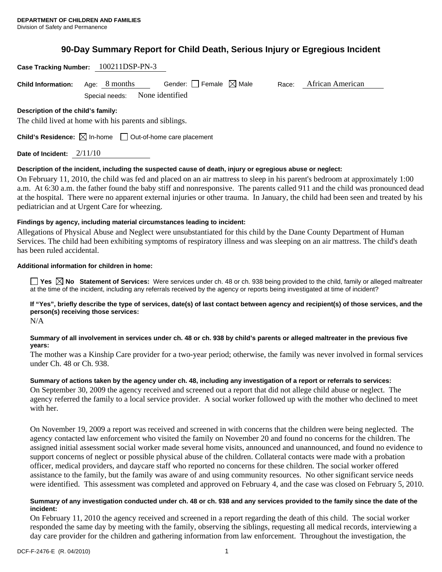**Case Tracking Number:** 100211DSP-PN-3

# **90-Day Summary Report for Child Death, Serious Injury or Egregious Incident**

|                                    | Case Tracking Number: $100211$ DSP-PN-3                                         |                                                                                                            |       |                                                                                                                                   |
|------------------------------------|---------------------------------------------------------------------------------|------------------------------------------------------------------------------------------------------------|-------|-----------------------------------------------------------------------------------------------------------------------------------|
| <b>Child Information:</b>          | Age: $8$ months                                                                 | Gender: $\Box$ Female $\boxtimes$ Male                                                                     | Race: | African American                                                                                                                  |
|                                    | Special needs:                                                                  | None identified                                                                                            |       |                                                                                                                                   |
| Description of the child's family: |                                                                                 |                                                                                                            |       |                                                                                                                                   |
|                                    | The child lived at home with his parents and siblings.                          |                                                                                                            |       |                                                                                                                                   |
|                                    | <b>Child's Residence:</b> $\boxtimes$ In-home $\Box$ Out-of-home care placement |                                                                                                            |       |                                                                                                                                   |
| Date of Incident: $2/11/10$        |                                                                                 |                                                                                                            |       |                                                                                                                                   |
|                                    |                                                                                 | Description of the incident, including the suspected cause of death, injury or egregious abuse or neglect: |       |                                                                                                                                   |
|                                    |                                                                                 |                                                                                                            |       | On February 11, 2010, the child was fed and placed on an air mattress to sleep in his parent's bedroom at approximately 1:00      |
|                                    |                                                                                 |                                                                                                            |       | a.m. At 6:30 a.m. the father found the baby stiff and nonresponsive. The parents called 911 and the child was pronounced dead     |
|                                    |                                                                                 |                                                                                                            |       | at the hospital. There were no apparent external injuries or other trauma. In January, the child had been seen and treated by his |
|                                    | pediatrician and at Urgent Care for wheezing.                                   |                                                                                                            |       |                                                                                                                                   |
|                                    |                                                                                 | Findings by agency, including material circumstances leading to incident:                                  |       |                                                                                                                                   |
|                                    |                                                                                 |                                                                                                            |       | Allegations of Physical Abuse and Neglect were unsubstantiated for this child by the Dane County Department of Human              |
|                                    |                                                                                 |                                                                                                            |       | Services. The child had been exhibiting symptoms of respiratory illness and was sleeping on an air mattress. The child's death    |

#### **Additional information for children in home:**

has been ruled accidental.

**T** Yes **No** Statement of Services: Were services under ch. 48 or ch. 938 being provided to the child, family or alleged maltreater at the time of the incident, including any referrals received by the agency or reports being investigated at time of incident?

## **If "Yes", briefly describe the type of services, date(s) of last contact between agency and recipient(s) of those services, and the person(s) receiving those services:**

N/A

### **Summary of all involvement in services under ch. 48 or ch. 938 by child's parents or alleged maltreater in the previous five years:**

The mother was a Kinship Care provider for a two-year period; otherwise, the family was never involved in formal services under Ch. 48 or Ch. 938.

### **Summary of actions taken by the agency under ch. 48, including any investigation of a report or referrals to services:**

On September 30, 2009 the agency received and screened out a report that did not allege child abuse or neglect. The agency referred the family to a local service provider. A social worker followed up with the mother who declined to meet with her.

On November 19, 2009 a report was received and screened in with concerns that the children were being neglected. The agency contacted law enforcement who visited the family on November 20 and found no concerns for the children. The assigned initial assessment social worker made several home visits, announced and unannounced, and found no evidence to support concerns of neglect or possible physical abuse of the children. Collateral contacts were made with a probation officer, medical providers, and daycare staff who reported no concerns for these children. The social worker offered assistance to the family, but the family was aware of and using community resources. No other significant service needs were identified. This assessment was completed and approved on February 4, and the case was closed on February 5, 2010.

#### **Summary of any investigation conducted under ch. 48 or ch. 938 and any services provided to the family since the date of the incident:**

On February 11, 2010 the agency received and screened in a report regarding the death of this child. The social worker responded the same day by meeting with the family, observing the siblings, requesting all medical records, interviewing a day care provider for the children and gathering information from law enforcement. Throughout the investigation, the